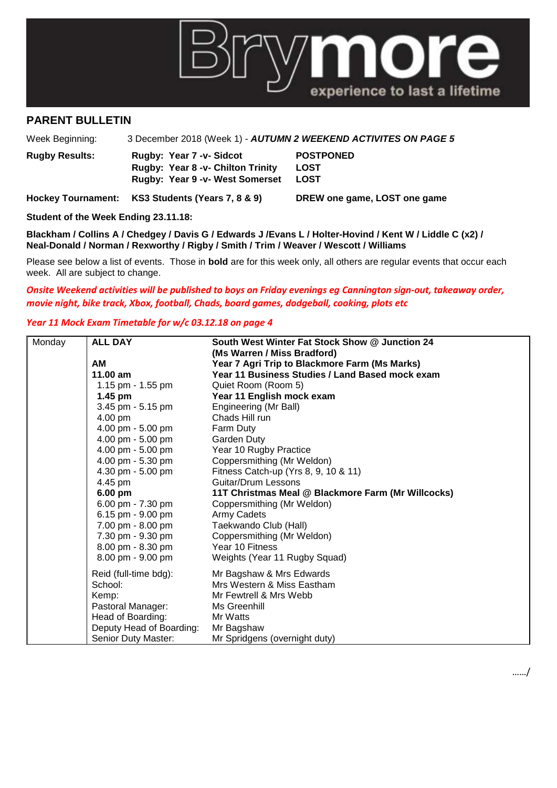

## **PARENT BULLETIN**

Week Beginning: 3 December 2018 (Week 1) - *AUTUMN 2 WEEKEND ACTIVITES ON PAGE 5*

| <b>Rugby Results:</b> | Rugby: Year 7 - v- Sidcot                | <b>POSTPONED</b> |
|-----------------------|------------------------------------------|------------------|
|                       | <b>Rugby: Year 8 -v- Chilton Trinity</b> | LOST             |
|                       | <b>Rugby: Year 9 -v- West Somerset</b>   | LOST             |

**Hockey Tournament: KS3 Students (Years 7, 8 & 9) DREW one game, LOST one game**

**Student of the Week Ending 23.11.18:**

**Blackham / Collins A / Chedgey / Davis G / Edwards J /Evans L / Holter-Hovind / Kent W / Liddle C (x2) / Neal-Donald / Norman / Rexworthy / Rigby / Smith / Trim / Weaver / Wescott / Williams**

Please see below a list of events. Those in **bold** are for this week only, all others are regular events that occur each week. All are subject to change.

## *Onsite Weekend activities will be published to boys on Friday evenings eg Cannington sign-out, takeaway order, movie night, bike track, Xbox, football, Chads, board games, dodgeball, cooking, plots etc*

## *Year 11 Mock Exam Timetable for w/c 03.12.18 on page 4*

| Monday | <b>ALL DAY</b>           | South West Winter Fat Stock Show @ Junction 24     |  |  |
|--------|--------------------------|----------------------------------------------------|--|--|
|        |                          | (Ms Warren / Miss Bradford)                        |  |  |
|        | <b>AM</b>                | Year 7 Agri Trip to Blackmore Farm (Ms Marks)      |  |  |
|        | 11.00 am                 | Year 11 Business Studies / Land Based mock exam    |  |  |
|        | 1.15 pm - 1.55 pm        | Quiet Room (Room 5)                                |  |  |
|        | 1.45 pm                  | Year 11 English mock exam                          |  |  |
|        | 3.45 pm - 5.15 pm        | Engineering (Mr Ball)                              |  |  |
|        | 4.00 pm                  | Chads Hill run                                     |  |  |
|        | 4.00 pm - 5.00 pm        | Farm Duty                                          |  |  |
|        | 4.00 pm - 5.00 pm        | Garden Duty                                        |  |  |
|        | 4.00 pm - 5.00 pm        | Year 10 Rugby Practice                             |  |  |
|        | 4.00 pm - 5.30 pm        | Coppersmithing (Mr Weldon)                         |  |  |
|        | 4.30 pm - 5.00 pm        | Fitness Catch-up (Yrs 8, 9, 10 & 11)               |  |  |
|        | 4.45 pm                  | <b>Guitar/Drum Lessons</b>                         |  |  |
|        | 6.00 pm                  | 11T Christmas Meal @ Blackmore Farm (Mr Willcocks) |  |  |
|        | 6.00 pm - 7.30 pm        | Coppersmithing (Mr Weldon)                         |  |  |
|        | 6.15 pm - 9.00 pm        | Army Cadets                                        |  |  |
|        | 7.00 pm - 8.00 pm        | Taekwando Club (Hall)                              |  |  |
|        | 7.30 pm - 9.30 pm        | Coppersmithing (Mr Weldon)                         |  |  |
|        | 8.00 pm - 8.30 pm        | Year 10 Fitness                                    |  |  |
|        | 8.00 pm - 9.00 pm        | Weights (Year 11 Rugby Squad)                      |  |  |
|        | Reid (full-time bdg):    | Mr Bagshaw & Mrs Edwards                           |  |  |
|        | School:                  | Mrs Western & Miss Eastham                         |  |  |
|        | Kemp:                    | Mr Fewtrell & Mrs Webb                             |  |  |
|        | Pastoral Manager:        | Ms Greenhill                                       |  |  |
|        | Head of Boarding:        | Mr Watts                                           |  |  |
|        | Deputy Head of Boarding: | Mr Bagshaw                                         |  |  |
|        | Senior Duty Master:      | Mr Spridgens (overnight duty)                      |  |  |

……/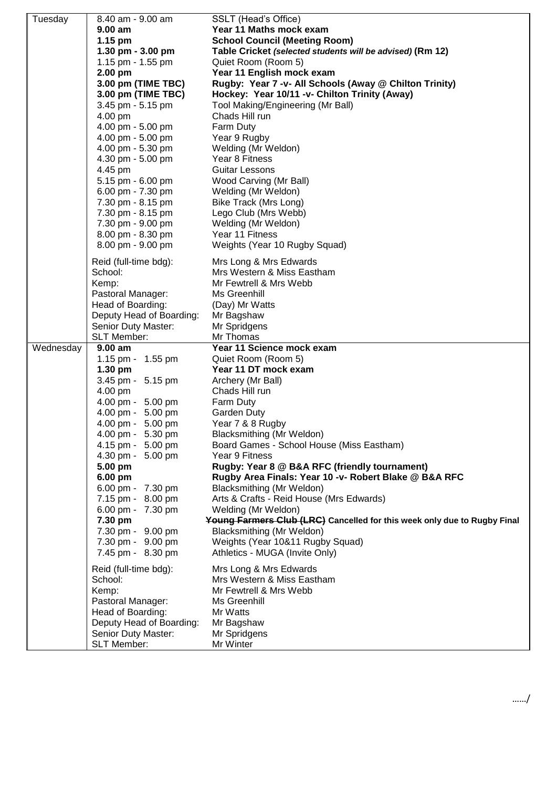| Tuesday   | 8.40 am - 9.00 am                  | SSLT (Head's Office)                                                     |  |  |
|-----------|------------------------------------|--------------------------------------------------------------------------|--|--|
|           | $9.00$ am                          | Year 11 Maths mock exam                                                  |  |  |
|           | 1.15 pm                            | <b>School Council (Meeting Room)</b>                                     |  |  |
|           | 1.30 pm - 3.00 pm                  | Table Cricket (selected students will be advised) (Rm 12)                |  |  |
|           | 1.15 pm - 1.55 pm                  | Quiet Room (Room 5)                                                      |  |  |
|           | 2.00 pm                            | Year 11 English mock exam                                                |  |  |
|           | 3.00 pm (TIME TBC)                 | Rugby: Year 7 -v- All Schools (Away @ Chilton Trinity)                   |  |  |
|           | 3.00 pm (TIME TBC)                 | Hockey: Year 10/11 -v- Chilton Trinity (Away)                            |  |  |
|           | 3.45 pm - 5.15 pm                  | Tool Making/Engineering (Mr Ball)                                        |  |  |
|           | 4.00 pm                            | Chads Hill run                                                           |  |  |
|           | 4.00 pm - 5.00 pm                  | Farm Duty                                                                |  |  |
|           | 4.00 pm - 5.00 pm                  | Year 9 Rugby                                                             |  |  |
|           | 4.00 pm - 5.30 pm                  | Welding (Mr Weldon)                                                      |  |  |
|           | 4.30 pm - 5.00 pm                  | Year 8 Fitness                                                           |  |  |
|           | 4.45 pm                            | <b>Guitar Lessons</b>                                                    |  |  |
|           | 5.15 pm - 6.00 pm                  | Wood Carving (Mr Ball)                                                   |  |  |
|           | 6.00 pm - 7.30 pm                  | Welding (Mr Weldon)                                                      |  |  |
|           | 7.30 pm - 8.15 pm                  | Bike Track (Mrs Long)                                                    |  |  |
|           | 7.30 pm - 8.15 pm                  | Lego Club (Mrs Webb)                                                     |  |  |
|           | 7.30 pm - 9.00 pm                  | Welding (Mr Weldon)                                                      |  |  |
|           | 8.00 pm - 8.30 pm                  | Year 11 Fitness                                                          |  |  |
|           | 8.00 pm - 9.00 pm                  | Weights (Year 10 Rugby Squad)                                            |  |  |
|           |                                    |                                                                          |  |  |
|           | Reid (full-time bdg):              | Mrs Long & Mrs Edwards                                                   |  |  |
|           | School:                            | Mrs Western & Miss Eastham                                               |  |  |
|           | Kemp:                              | Mr Fewtrell & Mrs Webb                                                   |  |  |
|           | Pastoral Manager:                  | Ms Greenhill                                                             |  |  |
|           | Head of Boarding:                  | (Day) Mr Watts                                                           |  |  |
|           | Deputy Head of Boarding:           | Mr Bagshaw                                                               |  |  |
|           | Senior Duty Master:<br>SLT Member: | Mr Spridgens<br>Mr Thomas                                                |  |  |
| Wednesday | 9.00 am                            | Year 11 Science mock exam                                                |  |  |
|           | 1.15 pm - 1.55 pm                  | Quiet Room (Room 5)                                                      |  |  |
|           | 1.30 pm                            | Year 11 DT mock exam                                                     |  |  |
|           | 3.45 pm - 5.15 pm                  | Archery (Mr Ball)                                                        |  |  |
|           | 4.00 pm                            | Chads Hill run                                                           |  |  |
|           | 4.00 pm - 5.00 pm                  | Farm Duty                                                                |  |  |
|           | 4.00 pm - 5.00 pm                  | <b>Garden Duty</b>                                                       |  |  |
|           | 4.00 pm - 5.00 pm                  | Year 7 & 8 Rugby                                                         |  |  |
|           | 4.00 pm - 5.30 pm                  | Blacksmithing (Mr Weldon)                                                |  |  |
|           | 4.15 pm - 5.00 pm                  | Board Games - School House (Miss Eastham)                                |  |  |
|           | 4.30 pm - 5.00 pm                  | Year 9 Fitness                                                           |  |  |
|           | 5.00 pm                            | Rugby: Year 8 @ B&A RFC (friendly tournament)                            |  |  |
|           | 6.00 pm                            | Rugby Area Finals: Year 10 -v- Robert Blake @ B&A RFC                    |  |  |
|           | 6.00 pm - 7.30 pm                  | Blacksmithing (Mr Weldon)                                                |  |  |
|           | 7.15 pm - 8.00 pm                  | Arts & Crafts - Reid House (Mrs Edwards)                                 |  |  |
|           | 6.00 pm - 7.30 pm                  | Welding (Mr Weldon)                                                      |  |  |
|           | 7.30 pm                            | Young Farmers Club (LRC) Cancelled for this week only due to Rugby Final |  |  |
|           | 7.30 pm - 9.00 pm                  | Blacksmithing (Mr Weldon)                                                |  |  |
|           | 7.30 pm - 9.00 pm                  | Weights (Year 10&11 Rugby Squad)                                         |  |  |
|           | 7.45 pm - 8.30 pm                  | Athletics - MUGA (Invite Only)                                           |  |  |
|           | Reid (full-time bdg):              | Mrs Long & Mrs Edwards                                                   |  |  |
|           | School:                            | Mrs Western & Miss Eastham                                               |  |  |
|           | Kemp:                              | Mr Fewtrell & Mrs Webb                                                   |  |  |
|           | Pastoral Manager:                  | Ms Greenhill                                                             |  |  |
|           | Head of Boarding:                  | Mr Watts                                                                 |  |  |
|           | Deputy Head of Boarding:           | Mr Bagshaw                                                               |  |  |
|           | Senior Duty Master:                | Mr Spridgens                                                             |  |  |
|           | SLT Member:                        | Mr Winter                                                                |  |  |
|           |                                    |                                                                          |  |  |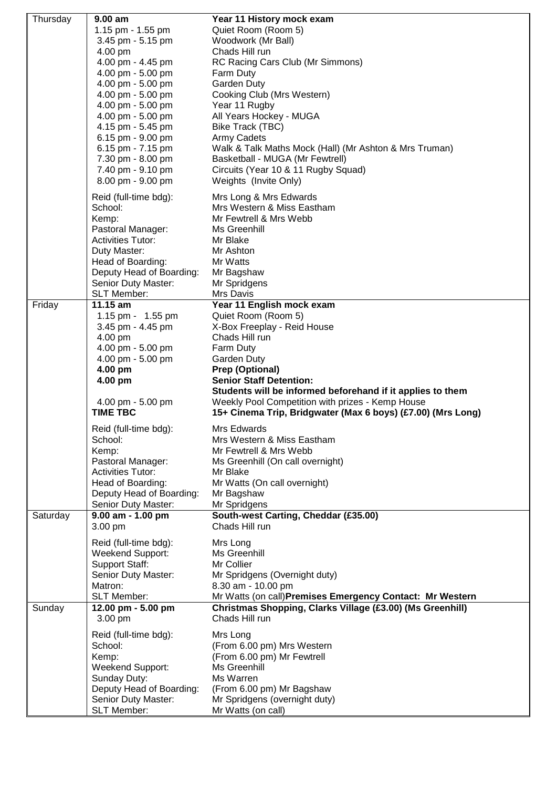| Thursday | $9.00$ am                                | Year 11 History mock exam                                                                    |  |  |
|----------|------------------------------------------|----------------------------------------------------------------------------------------------|--|--|
|          | 1.15 pm - 1.55 pm                        | Quiet Room (Room 5)                                                                          |  |  |
|          | 3.45 pm - 5.15 pm                        | Woodwork (Mr Ball)                                                                           |  |  |
|          | 4.00 pm                                  | Chads Hill run                                                                               |  |  |
|          | 4.00 pm - 4.45 pm                        | RC Racing Cars Club (Mr Simmons)                                                             |  |  |
|          | 4.00 pm - 5.00 pm                        | Farm Duty                                                                                    |  |  |
|          | 4.00 pm - 5.00 pm                        | <b>Garden Duty</b>                                                                           |  |  |
|          | 4.00 pm - 5.00 pm                        | Cooking Club (Mrs Western)                                                                   |  |  |
|          | 4.00 pm - 5.00 pm<br>4.00 pm - 5.00 pm   | Year 11 Rugby                                                                                |  |  |
|          | 4.15 pm - 5.45 pm                        | All Years Hockey - MUGA                                                                      |  |  |
|          | 6.15 pm - 9.00 pm                        | Bike Track (TBC)<br>Army Cadets                                                              |  |  |
|          | 6.15 pm - 7.15 pm                        |                                                                                              |  |  |
|          | 7.30 pm - 8.00 pm                        | Walk & Talk Maths Mock (Hall) (Mr Ashton & Mrs Truman)<br>Basketball - MUGA (Mr Fewtrell)    |  |  |
|          | 7.40 pm - 9.10 pm                        | Circuits (Year 10 & 11 Rugby Squad)                                                          |  |  |
|          | 8.00 pm - 9.00 pm                        | Weights (Invite Only)                                                                        |  |  |
|          |                                          |                                                                                              |  |  |
|          | Reid (full-time bdg):                    | Mrs Long & Mrs Edwards                                                                       |  |  |
|          | School:                                  | Mrs Western & Miss Eastham<br>Mr Fewtrell & Mrs Webb                                         |  |  |
|          | Kemp:<br>Pastoral Manager:               | Ms Greenhill                                                                                 |  |  |
|          | <b>Activities Tutor:</b>                 | Mr Blake                                                                                     |  |  |
|          | Duty Master:                             | Mr Ashton                                                                                    |  |  |
|          | Head of Boarding:                        | Mr Watts                                                                                     |  |  |
|          | Deputy Head of Boarding:                 | Mr Bagshaw                                                                                   |  |  |
|          | Senior Duty Master:                      | Mr Spridgens                                                                                 |  |  |
|          | SLT Member:                              | Mrs Davis                                                                                    |  |  |
| Friday   | 11.15 am                                 | Year 11 English mock exam                                                                    |  |  |
|          | 1.15 pm - 1.55 pm                        | Quiet Room (Room 5)                                                                          |  |  |
|          | 3.45 pm - 4.45 pm                        | X-Box Freeplay - Reid House                                                                  |  |  |
|          | 4.00 pm                                  | Chads Hill run                                                                               |  |  |
|          | 4.00 pm - 5.00 pm                        | Farm Duty                                                                                    |  |  |
|          | 4.00 pm - 5.00 pm                        | <b>Garden Duty</b>                                                                           |  |  |
|          | 4.00 pm                                  | Prep (Optional)                                                                              |  |  |
|          | 4.00 pm                                  | <b>Senior Staff Detention:</b><br>Students will be informed beforehand if it applies to them |  |  |
|          | 4.00 pm - 5.00 pm                        | Weekly Pool Competition with prizes - Kemp House                                             |  |  |
|          | <b>TIME TBC</b>                          | 15+ Cinema Trip, Bridgwater (Max 6 boys) (£7.00) (Mrs Long)                                  |  |  |
|          |                                          |                                                                                              |  |  |
|          | Reid (full-time bdg):                    | Mrs Edwards                                                                                  |  |  |
|          | School:                                  | Mrs Western & Miss Eastham                                                                   |  |  |
|          | Kemp:<br>Pastoral Manager:               | Mr Fewtrell & Mrs Webb                                                                       |  |  |
|          | <b>Activities Tutor:</b>                 | Ms Greenhill (On call overnight)<br>Mr Blake                                                 |  |  |
|          | Head of Boarding:                        | Mr Watts (On call overnight)                                                                 |  |  |
|          |                                          |                                                                                              |  |  |
|          |                                          |                                                                                              |  |  |
|          | Deputy Head of Boarding:                 | Mr Bagshaw                                                                                   |  |  |
| Saturday | Senior Duty Master:<br>9.00 am - 1.00 pm | Mr Spridgens                                                                                 |  |  |
|          | 3.00 pm                                  | South-west Carting, Cheddar (£35.00)<br>Chads Hill run                                       |  |  |
|          |                                          |                                                                                              |  |  |
|          | Reid (full-time bdg):                    | Mrs Long                                                                                     |  |  |
|          | Weekend Support:                         | Ms Greenhill                                                                                 |  |  |
|          | <b>Support Staff:</b>                    | Mr Collier                                                                                   |  |  |
|          | Senior Duty Master:<br>Matron:           | Mr Spridgens (Overnight duty)                                                                |  |  |
|          | SLT Member:                              | 8.30 am - 10.00 pm<br>Mr Watts (on call) Premises Emergency Contact: Mr Western              |  |  |
| Sunday   | 12.00 pm - 5.00 pm                       | Christmas Shopping, Clarks Village (£3.00) (Ms Greenhill)                                    |  |  |
|          | 3.00 pm                                  | Chads Hill run                                                                               |  |  |
|          |                                          |                                                                                              |  |  |
|          | Reid (full-time bdg):<br>School:         | Mrs Long                                                                                     |  |  |
|          |                                          | (From 6.00 pm) Mrs Western                                                                   |  |  |
|          | Kemp:<br>Weekend Support:                | (From 6.00 pm) Mr Fewtrell<br>Ms Greenhill                                                   |  |  |
|          | Sunday Duty:                             | Ms Warren                                                                                    |  |  |
|          | Deputy Head of Boarding:                 | (From 6.00 pm) Mr Bagshaw                                                                    |  |  |
|          | Senior Duty Master:<br>SLT Member:       | Mr Spridgens (overnight duty)<br>Mr Watts (on call)                                          |  |  |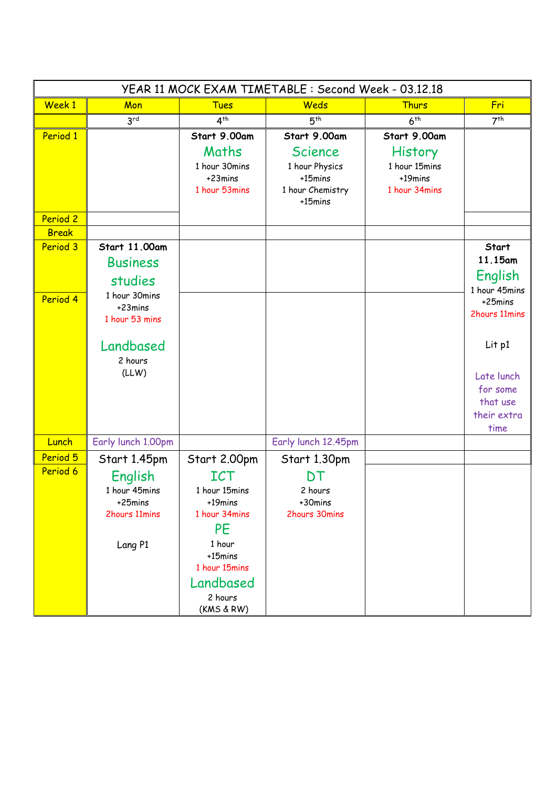| YEAR 11 MOCK EXAM TIMETABLE : Second Week - 03.12.18 |                           |                          |                                |                          |                          |
|------------------------------------------------------|---------------------------|--------------------------|--------------------------------|--------------------------|--------------------------|
| Week 1                                               | Mon                       | <b>Tues</b>              | Weds                           | Thurs                    | Fri                      |
|                                                      | 3 <sup>rd</sup>           | 4 <sup>th</sup>          | 5 <sup>th</sup>                | 6 <sup>th</sup>          | 7 <sup>th</sup>          |
| Period 1                                             |                           | Start 9.00am             | Start 9.00am                   | Start 9.00am             |                          |
|                                                      |                           | Maths                    | <b>Science</b>                 | <b>History</b>           |                          |
|                                                      |                           | 1 hour 30mins            | 1 hour Physics                 | 1 hour 15mins            |                          |
|                                                      |                           | +23mins<br>1 hour 53mins | $+15$ mins<br>1 hour Chemistry | +19mins<br>1 hour 34mins |                          |
|                                                      |                           |                          | +15mins                        |                          |                          |
| Period 2                                             |                           |                          |                                |                          |                          |
| <b>Break</b>                                         |                           |                          |                                |                          |                          |
| Period 3                                             | Start 11.00am             |                          |                                |                          | Start                    |
|                                                      | <b>Business</b>           |                          |                                |                          | 11.15am                  |
|                                                      | studies                   |                          |                                |                          | English                  |
| Period 4                                             | 1 hour 30mins             |                          |                                |                          | 1 hour 45mins<br>+25mins |
|                                                      | +23mins<br>1 hour 53 mins |                          |                                |                          | 2hours 11mins            |
|                                                      |                           |                          |                                |                          |                          |
|                                                      | Landbased                 |                          |                                |                          | Lit p1                   |
|                                                      | 2 hours                   |                          |                                |                          |                          |
|                                                      | (LLW)                     |                          |                                |                          | Late lunch               |
|                                                      |                           |                          |                                |                          | for some                 |
|                                                      |                           |                          |                                |                          | that use                 |
|                                                      |                           |                          |                                |                          | their extra              |
| Lunch                                                | Early lunch 1.00pm        |                          | Early lunch 12.45pm            |                          | time                     |
| Period 5                                             |                           |                          |                                |                          |                          |
| Period 6                                             | Start 1.45pm              | Start 2.00pm             | Start 1.30pm                   |                          |                          |
|                                                      | English                   | <b>ICT</b>               | DT                             |                          |                          |
|                                                      | 1 hour 45mins<br>+25mins  | 1 hour 15mins<br>+19mins | 2 hours<br>+30mins             |                          |                          |
|                                                      | 2hours 11mins             | 1 hour 34mins            | 2hours 30mins                  |                          |                          |
|                                                      |                           | <b>PE</b>                |                                |                          |                          |
|                                                      | Lang P1                   | 1 hour                   |                                |                          |                          |
|                                                      |                           | +15mins                  |                                |                          |                          |
|                                                      |                           | 1 hour 15mins            |                                |                          |                          |
|                                                      |                           | Landbased                |                                |                          |                          |
|                                                      |                           | 2 hours<br>(KMS & RW)    |                                |                          |                          |